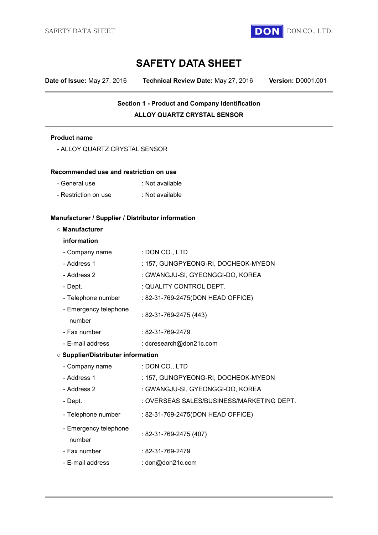

# **SAFETY DATA SHEET**

**Date of Issue:** May 27, 2016 **Technical Review Date:** May 27, 2016 **Version:** D0001.001

## **Section 1 - Product and Company Identification ALLOY QUARTZ CRYSTAL SENSOR**

#### **Product name**

| <b>Product name</b>                               |                                           |  |  |
|---------------------------------------------------|-------------------------------------------|--|--|
| - ALLOY QUARTZ CRYSTAL SENSOR                     |                                           |  |  |
| Recommended use and restriction on use            |                                           |  |  |
| - General use                                     | : Not available                           |  |  |
| - Restriction on use                              | : Not available                           |  |  |
| Manufacturer / Supplier / Distributor information |                                           |  |  |
| ○ Manufacturer                                    |                                           |  |  |
| information                                       |                                           |  |  |
| - Company name                                    | : DON CO., LTD                            |  |  |
| - Address 1                                       | : 157, GUNGPYEONG-RI, DOCHEOK-MYEON       |  |  |
| - Address 2                                       | : GWANGJU-SI, GYEONGGI-DO, KOREA          |  |  |
| - Dept.                                           | : QUALITY CONTROL DEPT.                   |  |  |
| - Telephone number                                | : 82-31-769-2475(DON HEAD OFFICE)         |  |  |
| - Emergency telephone<br>number                   | : 82-31-769-2475 (443)                    |  |  |
| - Fax number                                      | : 82-31-769-2479                          |  |  |
| - E-mail address                                  | : dcresearch@don21c.com                   |  |  |
| <b>O Supplier/Distributer information</b>         |                                           |  |  |
| - Company name                                    | : DON CO., LTD                            |  |  |
| - Address 1                                       | : 157, GUNGPYEONG-RI, DOCHEOK-MYEON       |  |  |
| - Address 2                                       | : GWANGJU-SI, GYEONGGI-DO, KOREA          |  |  |
| - Dept.                                           | : OVERSEAS SALES/BUSINESS/MARKETING DEPT. |  |  |
| - Telephone number                                | : 82-31-769-2475(DON HEAD OFFICE)         |  |  |
| - Emergency telephone<br>number                   | : 82-31-769-2475 (407)                    |  |  |
| - Fax number                                      | : 82-31-769-2479                          |  |  |
| - E-mail address                                  | : don@don21c.com                          |  |  |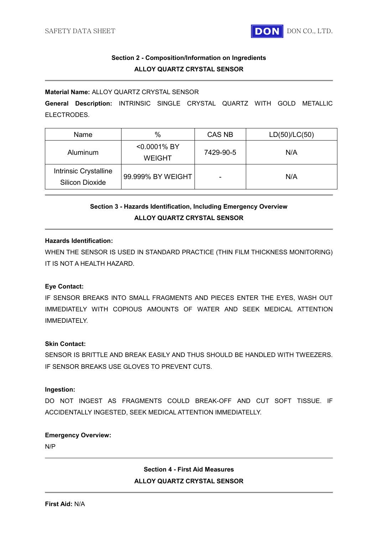

### **Section 2 - Composition/Information on Ingredients ALLOY QUARTZ CRYSTAL SENSOR**

#### **Material Name:** ALLOY QUARTZ CRYSTAL SENSOR

**General Description:** INTRINSIC SINGLE CRYSTAL QUARTZ WITH GOLD METALLIC ELECTRODES.

| Name                                            | $\%$                         | CAS NB    | LD(50)/LC(50) |
|-------------------------------------------------|------------------------------|-----------|---------------|
| Aluminum                                        | <0.0001% BY<br><b>WEIGHT</b> | 7429-90-5 | N/A           |
| Intrinsic Crystalline<br><b>Silicon Dioxide</b> | 99.999% BY WEIGHT            |           | N/A           |

## **Section 3 - Hazards Identification, Including Emergency Overview ALLOY QUARTZ CRYSTAL SENSOR**

#### **Hazards Identification:**

WHEN THE SENSOR IS USED IN STANDARD PRACTICE (THIN FILM THICKNESS MONITORING) IT IS NOT A HEALTH HAZARD.

### **Eye Contact:**

IF SENSOR BREAKS INTO SMALL FRAGMENTS AND PIECES ENTER THE EYES, WASH OUT IMMEDIATELY WITH COPIOUS AMOUNTS OF WATER AND SEEK MEDICAL ATTENTION IMMEDIATELY.

#### **Skin Contact:**

SENSOR IS BRITTLE AND BREAK EASILY AND THUS SHOULD BE HANDLED WITH TWEEZERS. IF SENSOR BREAKS USE GLOVES TO PREVENT CUTS.

#### **Ingestion:**

DO NOT INGEST AS FRAGMENTS COULD BREAK-OFF AND CUT SOFT TISSUE. IF ACCIDENTALLY INGESTED, SEEK MEDICAL ATTENTION IMMEDIATELLY.

#### **Emergency Overview:**

N/P

### **Section 4 - First Aid Measures ALLOY QUARTZ CRYSTAL SENSOR**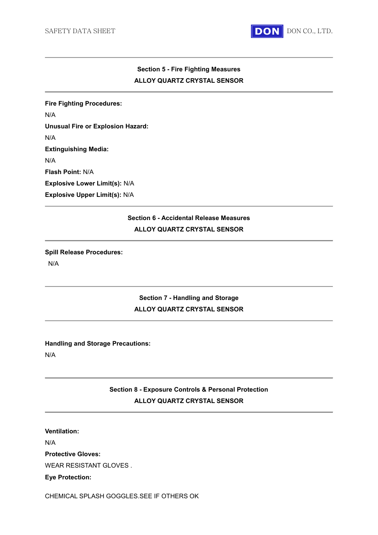

### **Section 5 - Fire Fighting Measures ALLOY QUARTZ CRYSTAL SENSOR**

**Fire Fighting Procedures:**  N/A **Unusual Fire or Explosion Hazard:**  N/A **Extinguishing Media:**  N/A **Flash Point:** N/A **Explosive Lower Limit(s):** N/A **Explosive Upper Limit(s):** N/A

### **Section 6 - Accidental Release Measures ALLOY QUARTZ CRYSTAL SENSOR**

#### **Spill Release Procedures:**

N/A

### **Section 7 - Handling and Storage ALLOY QUARTZ CRYSTAL SENSOR**

#### **Handling and Storage Precautions:**

N/A

### **Section 8 - Exposure Controls & Personal Protection ALLOY QUARTZ CRYSTAL SENSOR**

### **Ventilation:**

N/A

**Protective Gloves:** 

WEAR RESISTANT GLOVES .

#### **Eye Protection:**

CHEMICAL SPLASH GOGGLES.SEE IF OTHERS OK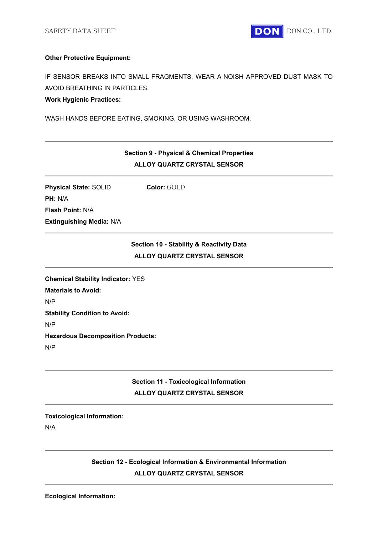

#### **Other Protective Equipment:**

IF SENSOR BREAKS INTO SMALL FRAGMENTS, WEAR A NOISH APPROVED DUST MASK TO AVOID BREATHING IN PARTICLES.

#### **Work Hygienic Practices:**

WASH HANDS BEFORE EATING, SMOKING, OR USING WASHROOM.

### **Section 9 - Physical & Chemical Properties ALLOY QUARTZ CRYSTAL SENSOR**

**Physical State: SOLID Color: GOLD PH:** N/A **Flash Point:** N/A **Extinguishing Media:** N/A

### **Section 10 - Stability & Reactivity Data ALLOY QUARTZ CRYSTAL SENSOR**

**Chemical Stability Indicator:** YES **Materials to Avoid:**  N/P **Stability Condition to Avoid:**  N/P **Hazardous Decomposition Products:**  N/P

## **Section 11 - Toxicological Information ALLOY QUARTZ CRYSTAL SENSOR**

#### **Toxicological Information:**

N/A

### **Section 12 - Ecological Information & Environmental Information ALLOY QUARTZ CRYSTAL SENSOR**

**Ecological Information:**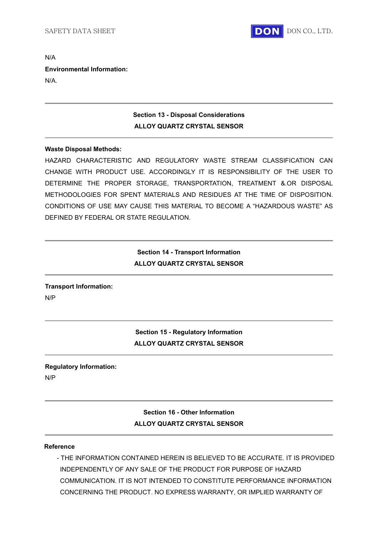

N/A **Environmental Information:** N/A.

### **Section 13 - Disposal Considerations ALLOY QUARTZ CRYSTAL SENSOR**

#### **Waste Disposal Methods:**

HAZARD CHARACTERISTIC AND REGULATORY WASTE STREAM CLASSIFICATION CAN CHANGE WITH PRODUCT USE. ACCORDINGLY IT IS RESPONSIBILITY OF THE USER TO DETERMINE THE PROPER STORAGE, TRANSPORTATION, TREATMENT &.OR DISPOSAL METHODOLOGIES FOR SPENT MATERIALS AND RESIDUES AT THE TIME OF DISPOSITION. CONDITIONS OF USE MAY CAUSE THIS MATERIAL TO BECOME A "HAZARDOUS WASTE" AS DEFINED BY FEDERAL OR STATE REGULATION.

### **Section 14 - Transport Information ALLOY QUARTZ CRYSTAL SENSOR**

# **Transport Information:**

N/P

### **Section 15 - Regulatory Information ALLOY QUARTZ CRYSTAL SENSOR**

### **Regulatory Information:**

N/P

# **Section 16 - Other Information ALLOY QUARTZ CRYSTAL SENSOR**

#### **Reference**

- THE INFORMATION CONTAINED HEREIN IS BELIEVED TO BE ACCURATE. IT IS PROVIDED INDEPENDENTLY OF ANY SALE OF THE PRODUCT FOR PURPOSE OF HAZARD COMMUNICATION. IT IS NOT INTENDED TO CONSTITUTE PERFORMANCE INFORMATION CONCERNING THE PRODUCT. NO EXPRESS WARRANTY, OR IMPLIED WARRANTY OF